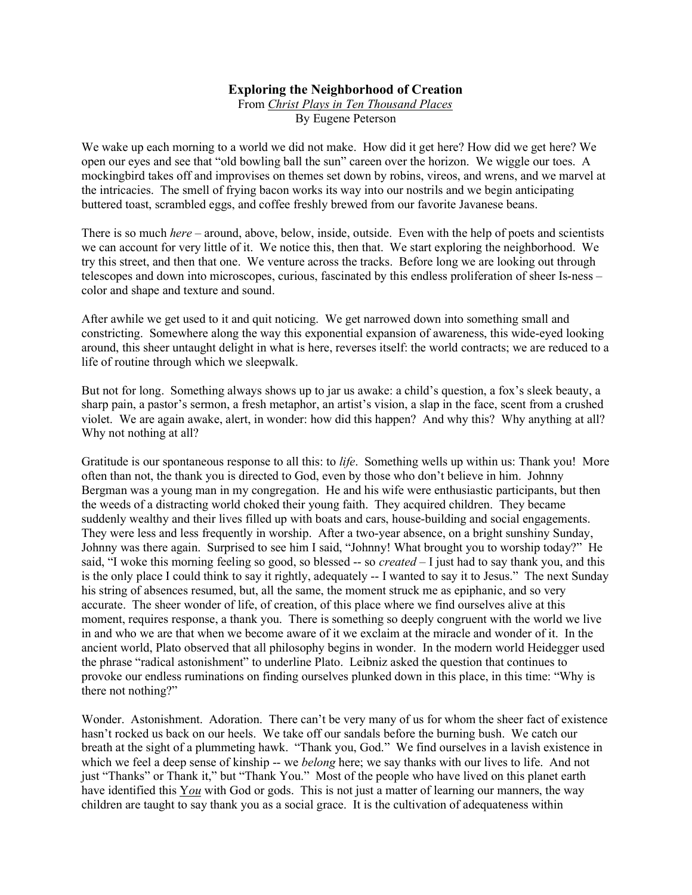## Exploring the Neighborhood of Creation

From Christ Plays in Ten Thousand Places By Eugene Peterson

We wake up each morning to a world we did not make. How did it get here? How did we get here? We open our eyes and see that "old bowling ball the sun" careen over the horizon. We wiggle our toes. A mockingbird takes off and improvises on themes set down by robins, vireos, and wrens, and we marvel at the intricacies. The smell of frying bacon works its way into our nostrils and we begin anticipating buttered toast, scrambled eggs, and coffee freshly brewed from our favorite Javanese beans.

There is so much *here* – around, above, below, inside, outside. Even with the help of poets and scientists we can account for very little of it. We notice this, then that. We start exploring the neighborhood. We try this street, and then that one. We venture across the tracks. Before long we are looking out through telescopes and down into microscopes, curious, fascinated by this endless proliferation of sheer Is-ness – color and shape and texture and sound.

After awhile we get used to it and quit noticing. We get narrowed down into something small and constricting. Somewhere along the way this exponential expansion of awareness, this wide-eyed looking around, this sheer untaught delight in what is here, reverses itself: the world contracts; we are reduced to a life of routine through which we sleepwalk.

But not for long. Something always shows up to jar us awake: a child's question, a fox's sleek beauty, a sharp pain, a pastor's sermon, a fresh metaphor, an artist's vision, a slap in the face, scent from a crushed violet. We are again awake, alert, in wonder: how did this happen? And why this? Why anything at all? Why not nothing at all?

Gratitude is our spontaneous response to all this: to *life*. Something wells up within us: Thank you! More often than not, the thank you is directed to God, even by those who don't believe in him. Johnny Bergman was a young man in my congregation. He and his wife were enthusiastic participants, but then the weeds of a distracting world choked their young faith. They acquired children. They became suddenly wealthy and their lives filled up with boats and cars, house-building and social engagements. They were less and less frequently in worship. After a two-year absence, on a bright sunshiny Sunday, Johnny was there again. Surprised to see him I said, "Johnny! What brought you to worship today?" He said, "I woke this morning feeling so good, so blessed  $-$  so *created*  $-$  I just had to say thank you, and this is the only place I could think to say it rightly, adequately -- I wanted to say it to Jesus." The next Sunday his string of absences resumed, but, all the same, the moment struck me as epiphanic, and so very accurate. The sheer wonder of life, of creation, of this place where we find ourselves alive at this moment, requires response, a thank you. There is something so deeply congruent with the world we live in and who we are that when we become aware of it we exclaim at the miracle and wonder of it. In the ancient world, Plato observed that all philosophy begins in wonder. In the modern world Heidegger used the phrase "radical astonishment" to underline Plato. Leibniz asked the question that continues to provoke our endless ruminations on finding ourselves plunked down in this place, in this time: "Why is there not nothing?"

Wonder. Astonishment. Adoration. There can't be very many of us for whom the sheer fact of existence hasn't rocked us back on our heels. We take off our sandals before the burning bush. We catch our breath at the sight of a plummeting hawk. "Thank you, God." We find ourselves in a lavish existence in which we feel a deep sense of kinship -- we *belong* here; we say thanks with our lives to life. And not just "Thanks" or Thank it," but "Thank You." Most of the people who have lived on this planet earth have identified this You with God or gods. This is not just a matter of learning our manners, the way children are taught to say thank you as a social grace. It is the cultivation of adequateness within